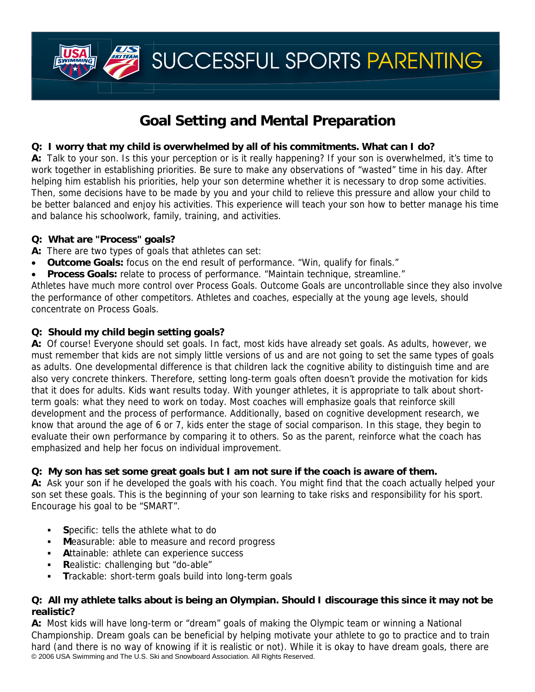SUCCESSFUL SPORTS PARENTING

# **Goal Setting and Mental Preparation**

## **Q: I worry that my child is overwhelmed by all of his commitments. What can I do?**

**A:** Talk to your son. Is this your perception or is it really happening? If your son is overwhelmed, it's time to work together in establishing priorities. Be sure to make any observations of "wasted" time in his day. After helping him establish his priorities, help your son determine whether it is necessary to drop some activities. Then, some decisions have to be made by you and your child to relieve this pressure and allow your child to be better balanced and enjoy his activities. This experience will teach your son how to better manage his time and balance his schoolwork, family, training, and activities.

### **Q: What are "Process" goals?**

**A:** There are two types of goals that athletes can set:

- **Outcome Goals:** focus on the end result of performance. "Win, qualify for finals."
- **Process Goals:** relate to process of performance. "Maintain technique, streamline."

Athletes have much more control over Process Goals. Outcome Goals are uncontrollable since they also involve the performance of other competitors. Athletes and coaches, especially at the young age levels, should concentrate on Process Goals.

### **Q: Should my child begin setting goals?**

**A:** Of course! Everyone should set goals. In fact, most kids have already set goals. As adults, however, we must remember that kids are not simply little versions of us and are not going to set the same types of goals as adults. One developmental difference is that children lack the cognitive ability to distinguish time and are also very concrete thinkers. Therefore, setting long-term goals often doesn't provide the motivation for kids that it does for adults. Kids want results today. With younger athletes, it is appropriate to talk about shortterm goals: what they need to work on today. Most coaches will emphasize goals that reinforce skill development and the process of performance. Additionally, based on cognitive development research, we know that around the age of 6 or 7, kids enter the stage of social comparison. In this stage, they begin to evaluate their own performance by comparing it to others. So as the parent, reinforce what the coach has emphasized and help her focus on individual improvement.

### **Q: My son has set some great goals but I am not sure if the coach is aware of them.**

**A:** Ask your son if he developed the goals with his coach. You might find that the coach actually helped your son set these goals. This is the beginning of your son learning to take risks and responsibility for his sport. Encourage his goal to be "SMART".

- **S**pecific: tells the athlete what to do
- **M**easurable: able to measure and record progress
- **A**ttainable: athlete can experience success
- **R**ealistic: challenging but "do-able"
- **T**rackable: short-term goals build into long-term goals

### **Q: All my athlete talks about is being an Olympian. Should I discourage this since it may not be realistic?**

© 2006 USA Swimming and The U.S. Ski and Snowboard Association. All Rights Reserved. **A:** Most kids will have long-term or "dream" goals of making the Olympic team or winning a National Championship. Dream goals can be beneficial by helping motivate your athlete to go to practice and to train hard (and there is no way of knowing if it is realistic or not). While it is okay to have dream goals, there are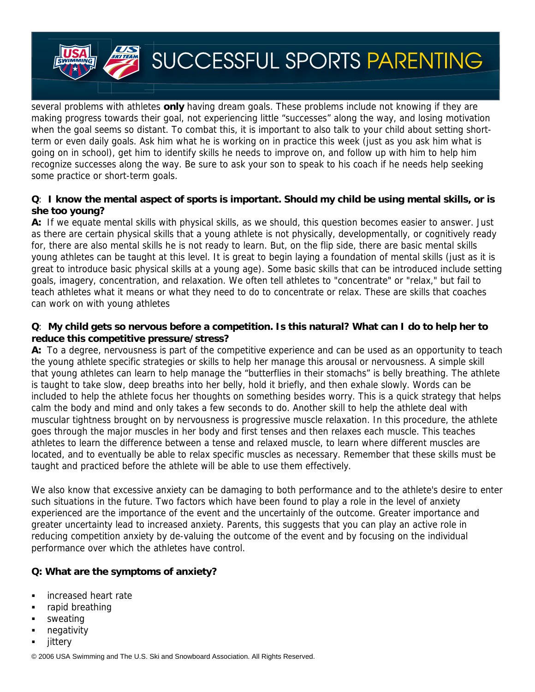

several problems with athletes **only** having dream goals. These problems include not knowing if they are making progress towards their goal, not experiencing little "successes" along the way, and losing motivation when the goal seems so distant. To combat this, it is important to also talk to your child about setting shortterm or even daily goals. Ask him what he is working on in practice this week (just as you ask him what is going on in school), get him to identify skills he needs to improve on, and follow up with him to help him recognize successes along the way. Be sure to ask your son to speak to his coach if he needs help seeking some practice or short-term goals.

#### **Q**: **I know the mental aspect of sports is important. Should my child be using mental skills, or is she too young?**

**A:** If we equate mental skills with physical skills, as we should, this question becomes easier to answer. Just as there are certain physical skills that a young athlete is not physically, developmentally, or cognitively ready for, there are also mental skills he is not ready to learn. But, on the flip side, there are basic mental skills young athletes can be taught at this level. It is great to begin laying a foundation of mental skills (just as it is great to introduce basic physical skills at a young age). Some basic skills that can be introduced include setting goals, imagery, concentration, and relaxation. We often tell athletes to "concentrate" or "relax," but fail to teach athletes what it means or what they need to do to concentrate or relax. These are skills that coaches can work on with young athletes

#### **Q**: **My child gets so nervous before a competition. Is this natural? What can I do to help her to reduce this competitive pressure/stress?**

**A:** To a degree, nervousness is part of the competitive experience and can be used as an opportunity to teach the young athlete specific strategies or skills to help her manage this arousal or nervousness. A simple skill that young athletes can learn to help manage the "butterflies in their stomachs" is belly breathing. The athlete is taught to take slow, deep breaths into her belly, hold it briefly, and then exhale slowly. Words can be included to help the athlete focus her thoughts on something besides worry. This is a quick strategy that helps calm the body and mind and only takes a few seconds to do. Another skill to help the athlete deal with muscular tightness brought on by nervousness is progressive muscle relaxation. In this procedure, the athlete goes through the major muscles in her body and first tenses and then relaxes each muscle. This teaches athletes to learn the difference between a tense and relaxed muscle, to learn where different muscles are located, and to eventually be able to relax specific muscles as necessary. Remember that these skills must be taught and practiced before the athlete will be able to use them effectively.

We also know that excessive anxiety can be damaging to both performance and to the athlete's desire to enter such situations in the future. Two factors which have been found to play a role in the level of anxiety experienced are the importance of the event and the uncertainly of the outcome. Greater importance and greater uncertainty lead to increased anxiety. Parents, this suggests that you can play an active role in reducing competition anxiety by de-valuing the outcome of the event and by focusing on the individual performance over which the athletes have control.

### **Q: What are the symptoms of anxiety?**

- **increased heart rate**
- rapid breathing
- sweating
- negativity
- jittery